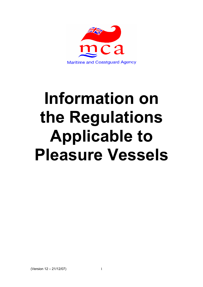

# **Information on the Regulations Applicable to Pleasure Vessels**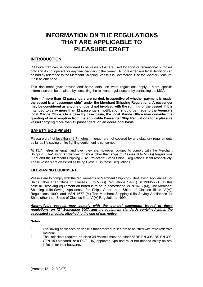# **INFORMATION ON THE REGULATIONS THAT ARE APPLICABLE TO PI FASURE CRAFT**

# **INTRODUCTION**

Pleasure craft can be considered to be vessels that are used for sport or recreational purposes only and do not operate for any financial gain to the owner. A more extensive legal definition can be had by reference to the Merchant Shipping (Vessels in Commercial Use for Sport or Pleasure) 1998 as amended.

This document gives advice and some detail on what regulations apply. More specific information can be obtained by consulting the relevant regulations or by contacting the MCA.

**Note - If more than 12 passengers are carried, irrespective of whether payment is made, the vessel is a "passenger ship" under the Merchant Shipping Regulations. A passenger may be considered as anyone onboard not involved with the running of the vessel. If it is intended to carry more than 12 passengers, notification should be made to the Agency's local Marine Office. On a case by case basis, the local Marine Office may consider the granting of an exemption from the applicable Passenger Ship Regulations for a pleasure vessel carrying more than 12 passengers, on an occasional basis.** 

# **SAFETY EQUIPMENT**

Pleasure craft of less than 13.7 metres in length are not covered by any statutory requirements as far as life saving or fire fighting equipment is concerned.

At 13.7 metres in length and over they are, however, obliged to comply with the Merchant Shipping (Life-Saving Appliances for ships other than ships of Classes III to VI (A)) Regulations 1999 and the Merchant Shipping (Fire Protection: Small Ships) Regulations 1998 respectively. These vessels are classified as being Class XII in these Regulations.

## **LIFE-SAVING EQUIPMENT**

Vessels are to comply with the requirements of Merchant Shipping (Life-Saving Appliances For Ships Other Than Ships Of Classes III to VI(A)) Regulations 1999 (SI 1999/2721). In this case all lifesaving equipment on board is to be in accordance MSN 1676 (M), The Merchant Shipping (Life-Saving Appliances for Ships Other than Ships of Classes III to VI(A)) Regulations 1999, and MSN 1677 (M) The Merchant Shipping (Life Saving Appliances for Ships other than Ships of Classes III to VI(A) Regulations 1999.

#### *Alternatively vessels may comply with the general exemption issued to these*  regulations, on 12<sup>th</sup> September 2007, and the equipment standards contained within the *associated schedule, attached to the end of this notice.*

## **Notes**

- 1. Life-saving appliances on vessels that proceed to sea are to be fitted with retro-reflective material.
- 2. The lifejackets required on class XII vessels must be either of BS EN 396, BS EN 399, CEN 150 standard, or a DOT (UK) approved type and must not depend solely on oral inflation for their buoyancy.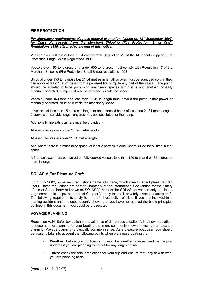#### **FIRE PROTECTION**

#### *For alternative requirements also see general exemption, issued on 12<sup>th</sup> September 2007, for Class XII vessels from the Merchant Shipping (Fire Protection: Small Craft) Regulations 1998, attached to the end of this notice.*

Vessels over 500 gross tons must comply with Regulation 28 of the Merchant Shipping (Fire Protection: Large Ships) Regulations 1998

Vessels over 150 tons gross and under 500 tons gross must comply with Regulation 17 of the Merchant Shipping (Fire Protection: Small Ships) regulations 1998

Ships of under 150 tons gross but 21.34 metres in length or over must be equipped so that they can apply at least 1 jet of water from a powered fire pump to any part of the vessel. The pump should be situated outside propulsion machinery spaces but if it is not, another, possibly manually operated, pump must also be provided outside the space.

Vessels under 150 tons and less than 21.34 in length must have a fire pump, either power or manually operated, situated outside the machinery space.

In vessels of less than 15 metres in length or open decked boats of less than 21.34 metre length, 2 buckets on suitable length lanyards may be substituted for the pump.

Additionally, fire extinguishers must be provided: -

At least 2 for vessels under 21.34 metre length;

At least 3 for vessels over 21.34 metre length;

And where there is a machinery space, at least 2 portable extinguishers suited for oil fires in that space.

A fireman's axe must be carried on fully decked vessels less than 150 tons and 21.34 metres or more in length.

## **SOLAS V For Pleasure Craft**

On 1 July 2002, some new regulations came into force, which directly affect pleasure craft users. These regulations are part of Chapter V of the International Convention for the Safety of Life at Sea, otherwise known as SOLAS V. Most of the SOLAS convention only applies to large commercial ships, but parts of Chapter V apply to small, privately owned pleasure craft. The following requirements apply to all craft, irrespective of size. If you are involved in a boating accident and it is subsequently shown that you have not applied the basic principles outlined in this document, you could be prosecuted.

#### **VOYAGE PLANNING**

Regulation V/34 'Safe Navigation and avoidance of dangerous situations', is a new regulation. It concerns prior-planning for your boating trip, more commonly known as voyage or passage planning. Voyage planning is basically common sense. As a pleasure boat user, you should particularly take into account the following points when planning a boating trip:

- **Weather:** before you go boating, check the weather forecast and get regular updates if you are planning to be out for any length of time.
- **Tides:** check the tidal predictions for your trip and ensure that they fit with what you are planning to do.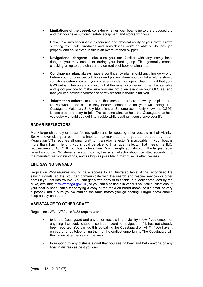- **Limitations of the vessel:** consider whether your boat is up to the proposed trip and that you have sufficient safety equipment and stores with you.
- **Crew:** take into account the experience and physical ability of your crew. Crews suffering from cold, tiredness and seasickness won't be able to do their job properly and could even result in an overburdened skipper.
- **Navigational dangers:** make sure you are familiar with any navigational dangers you may encounter during your boating trip. This generally means checking an up to date chart and a current pilot book or almanac.
- **Contingency plan:** always have a contingency plan should anything go wrong. Before you go, consider bolt holes and places where you can take refuge should conditions deteriorate or if you suffer an incident or injury. Bear in mind that your GPS set is vulnerable and could fail at the most inconvenient time. It is sensible and good practice to make sure you are not over-reliant on your GPS set and that you can navigate yourself to safety without it should it fail you.
- **Information ashore:** make sure that someone ashore knows your plans and knows what to do should they become concerned for your well being. The Coastguard Voluntary Safety Identification Scheme (commonly known as CG66) is also free and easy to join. The scheme aims to help the Coastguard to help you quickly should you get into trouble while boating. It could save your life.

#### **RADAR REFLECTORS**

Many large ships rely on radar for navigation and for spotting other vessels in their vicinity. So, whatever size your boat is, it's important to make sure that you can be seen by radar. Regulation V/19 requires all small craft to fit a radar reflector 'if practicable'. If your boat is more than 15m in length, you should be able to fit a radar reflector that meets the IMO requirements of 10m2. If your boat is less than 15m in length, you should fit the largest radar reflector you can. Whatever size your boat is, the radar reflector should be fitted according to the manufacturer's instructions, and as high as possible to maximise its effectiveness.

#### **LIFE SAVING SIGNALS**

Regulation V/29 requires you to have access to an illustrated table of the recognised life saving signals, so that you can communicate with the search and rescue services or other boats if you get into trouble. You can get a free copy of this table in a leaflet produced by the MCA, available at www.mcga.gov.uk, or you can also find it in various nautical publications. If your boat is not suitable for carrying a copy of the table on board (because it's small or very exposed), make sure you've studied the table before you go boating. Larger boats should keep a copy on board.

#### **ASSISTANCE TO OTHER CRAFT**

Regulations V/31, V/32 and V/33 require you:

- to let the Coastguard and any other vessels in the vicinity know if you encounter anything that could cause a serious hazard to navigation, if it has not already been reported. You can do this by calling the Coastguard on VHF, if you have it on board, or by telephoning them at the earliest opportunity. The Coastguard will then warn other vessels in the area.
- to respond to any distress signal that you see or hear and help anyone or any boat in distress as best you can.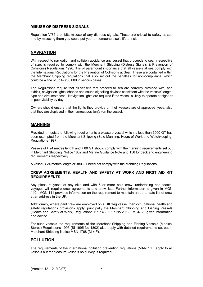#### **MISUSE OF DISTRESS SIGNALS**

Regulation V/35 prohibits misuse of any distress signals. These are critical to safety at sea and by misusing them you could put your or someone else's life at risk.

#### **NAVIGATION**

With respect to navigation and collision avoidance any vessel that proceeds to sea, irrespective of size, is required to comply with the Merchant Shipping (Distress Signals & Prevention of Collisions) Regulations 1996. It is of paramount importance that all vessels at sea comply with the International Regulations for the Prevention of Collisions at Sea. These are contained within the Merchant Shipping regulations that also set out the penalties for non-compliance, which could be a fine of up to £50,000 in serious cases.

The Regulations require that all vessels that proceed to sea are correctly provided with, and exhibit, navigation lights, shapes and sound signalling devices consistent with the vessels' length, type and circumstances. Navigation lights are required if the vessel is likely to operate at night or in poor visibility by day.

Owners should ensure that the lights they provide on their vessels are of approved types, also that they are displayed in their correct position(s) on the vessel.

#### **MANNING**

Provided it meets the following requirements a pleasure vessel which is less than 3000 GT has been exempted from the Merchant Shipping (Safe Manning, Hours of Work and Watchkeeping) Regulations 1997:

Vessels of ≥ 24 metres length and ≥ 80 GT should comply with the manning requirements set out in Merchant Shipping Notice 1802 and Marine Guidance Note and 156 for deck and engineering requirements respectively.

A vessel < 24 metres length or <80 GT need not comply with the Manning Regulations.

#### **CREW AGREEMENTS, HEALTH AND SAFETY AT WORK AND FIRST AID KIT REQUIREMENTS**

Any pleasure yacht of any size and with 5 or more paid crew, undertaking non-coastal voyages will require crew agreements and crew lists. Further information is given in MGN 149. MGN 111 provides information on the requirement to maintain an up to date list of crew at an address in the UK.

Additionally, where paid crew are employed on a UK flag vessel then occupational health and safety regulations provisions apply, principally the Merchant Shipping and Fishing Vessels (Health and Safety at Work) Regulations 1997 (SI 1997 No 2962). MGN 20 gives information and advice.

For such vessels the requirements of the Merchant Shipping and Fishing Vessels (Medical Stores) Regulations 1995 (SI 1995 No 1802) also apply with detailed requirements set out in Merchant Shipping Notice MSN 1768 (M + F).

#### **POLLUTION**

The requirements of the international pollution prevention regulations (MARPOL) apply to all vessels but for pleasure vessels no survey is required.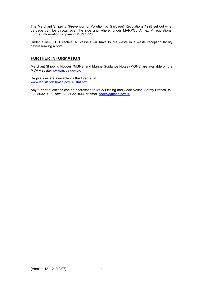The Merchant Shipping (Prevention of Pollution by Garbage) Regulations 1998 set out what garbage can be thrown over the side and where, under MARPOL Annex V regulations. Further information is given in MSN 1720.

Under a new EU Directive, all vessels will have to put waste in a waste reception facility before leaving a port.

# **FURTHER INFORMATION**

Merchant Shipping Notices (MSNs) and Marine Guidance Notes (MGNs) are available on the MCA website: www.mcga.gov.uk/

Regulations are available via the Internet at: www.legislation.hmso.gov.uk/stat.htm

Any further questions can be addressed to MCA Fishing and Code Vessel Safety Branch, tel: 023 8032 9139, fax: 023 8032 9447 or email codes@mcga.gov.uk.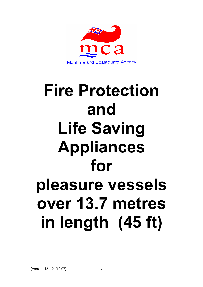

# **Fire Protection and Life Saving Appliances for pleasure vessels over 13.7 metres in length (45 ft)**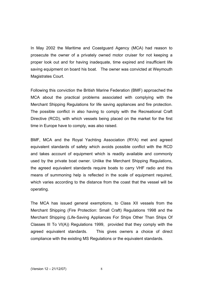In May 2002 the Maritime and Coastguard Agency (MCA) had reason to prosecute the owner of a privately owned motor cruiser for not keeping a proper look out and for having inadequate, time expired and insufficient life saving equipment on board his boat. The owner was convicted at Weymouth Magistrates Court.

Following this conviction the British Marine Federation (BMF) approached the MCA about the practical problems associated with complying with the Merchant Shipping Regulations for life saving appliances and fire protection. The possible conflict in also having to comply with the Recreational Craft Directive (RCD), with which vessels being placed on the market for the first time in Europe have to comply, was also raised.

BMF, MCA and the Royal Yachting Association (RYA) met and agreed equivalent standards of safety which avoids possible conflict with the RCD and takes account of equipment which is readily available and commonly used by the private boat owner. Unlike the Merchant Shipping Regulations, the agreed equivalent standards require boats to carry VHF radio and this means of summoning help is reflected in the scale of equipment required, which varies according to the distance from the coast that the vessel will be operating.

The MCA has issued general exemptions, to Class XII vessels from the Merchant Shipping (Fire Protection: Small Craft) Regulations 1998 and the Merchant Shipping (Life-Saving Appliances For Ships Other Than Ships Of Classes III To VI(A)) Regulations 1999, provided that they comply with the agreed equivalent standards. This gives owners a choice of direct compliance with the existing MS Regulations or the equivalent standards.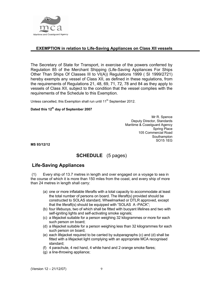

# **EXEMPTION in relation to Life-Saving Appliances on Class XII vessels**

The Secretary of State for Transport, in exercise of the powers conferred by Regulation 85 of the Merchant Shipping (Life-Saving Appliances For Ships Other Than Ships Of Classes III to VI(A)) Regulations 1999 ( SI 1999/2721) hereby exempts any vessel of Class XII, as defined in these regulations, from the requirements of Regulations 21, 48, 69, 71, 72, 78 and 84 as they apply to vessels of Class XII, subject to the condition that the vessel complies with the requirements of the Schedule to this Exemption.

Unless cancelled, this Exemption shall run until  $11<sup>th</sup>$  September 2012.

# **Dated this 12th day of September 2007**

Mr R. Spence Deputy Director, Standards Maritime & Coastguard Agency Spring Place 105 Commercial Road **Southampton** SO15 1EG

**MS 93/12/12**

# **SCHEDULE** (5 pages)

# **Life-Saving Appliances**

 (1) Every ship of 13.7 metres in length and over engaged on a voyage to sea in the course of which it is more than 150 miles from the coast, and every ship of more than 24 metres in length shall carry:

- (a) one or more inflatable liferafts with a total capacity to accommodate at least the total number of persons on board. The liferaft(s) provided should be constructed to SOLAS standard, Wheelmarked or DTLR approved, except that the liferaft(s) should be equipped with "SOLAS A -PACK";
- (b) four lifebuoys, two of which shall be fitted with buoyant lifelines and two with self-igniting lights and self-activating smoke signals;
- (c) a lifejacket suitable for a person weighing 32 kilogrammes or more for each such person on board;
- (d) a lifejacket suitable for a person weighing less than 32 kilogrammes for each such person on board;
- (e) each lifejacket required to be carried by subparagraphs (c) and (d) shall be fitted with a lifejacket light complying with an appropriate MCA recognised standard;
- (f) 4 parachute, 4 red hand, 4 white hand and 2 orange smoke flares;
- (g) a line-throwing appliance;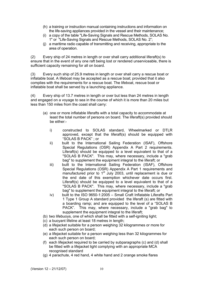- (h) a training or instruction manual containing instructions and information on the life-saving appliances provided in the vessel and their maintenance;
- (i) a copy of the table "Life-Saving Signals and Rescue Methods, SOLAS No. 1" or "Life-Saving Signals and Rescue Methods, SOLAS No. 2";
- (j) a maritime radio capable of transmitting and receiving, appropriate to the area of operation.

(2) Every ship of 24 metres in length or over shall carry additional liferaft(s) to ensure that in the event of any one raft being lost or rendered unserviceable, there is sufficient capacity remaining for all on board.

(3) Every such ship of 25.9 metres in length or over shall carry a rescue boat or inflatable boat. A lifeboat may be accepted as a rescue boat; provided that it also complies with the requirements for a rescue boat. The lifeboat, rescue boat or inflatable boat shall be served by a launching appliance.

(4) Every ship of 13.7 metres in length or over but less than 24 metres in length and engaged on a voyage to sea in the course of which it is more than 20 miles but less than 150 miles from the coast shall carry:

- (a) one or more inflatable liferafts with a total capacity to accommodate at least the total number of persons on board. The liferaft(s) provided should be either:
	- i) constructed to SOLAS standard, Wheelmarked or DTLR approved, except that the liferaft(s) should be equipped with "SOLAS B PACK" ; or
	- ii) built to the International Sailing Federation (ISAF), Offshore Special Regulations (OSR) Appendix A Part 2 requirements. Liferaft(s) should be equipped to a level equivalent to that of a "SOLAS B PACK". This may, where necessary, include a "grab bag" to supplement the equipment integral to the liferaft; or
	- iii) built to the International Sailing Federation (ISAF), Offshore Special Regulations (OSR) Appendix A Part 1 requirements and manufactured prior to  $1<sup>st</sup>$  July 2003, until replacement is due or the end date of this exemption whichever date occurs first. Liferaft(s) should be equipped to a level equivalent to that of a "SOLAS B PACK". This may, where necessary, include a "grab bag" to supplement the equipment integral to the liferaft; or
	- iv) built to the ISO 9650-1:2005 Small Craft Inflatable Liferafts Part 1 Type 1 Group A standard provided the liferaft (s) are fitted with a boarding ramp; and are equipped to the level of a "SOLAS B PACK". This may, where necessary, include a "grab bag" to supplement the equipment integral to the liferaft;
- (b) two lifebuoys, one of which shall be fitted with a self-igniting light;
- (c) a buoyant lifeline at least 18 metres in length;
- (d) a lifejacket suitable for a person weighing 32 kilogrammes or more for each such person on board;
- (e) a lifejacket suitable for a person weighing less than 32 kilogrammes for each such person on board;
- (f) each lifejacket required to be carried by subparagraphs (c) and (d) shall be fitted with a lifejacket light complying with an appropriate MCA recognised standard
- (g) 4 parachute, 4 red hand, 4 white hand and 2 orange smoke flares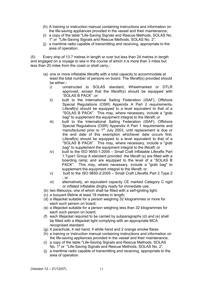- (h) A training or instruction manual containing instructions and information on the life-saving appliances provided in the vessel and their maintenance;
- (i) a copy of the table "Life-Saving Signals and Rescue Methods, SOLAS No. 1" or "Life-Saving Signals and Rescue Methods, SOLAS No. 2";
- (j) a maritime radio capable of transmitting and receiving, appropriate to the area of operation.

(5) Every ship of 13.7 metres in length or over but less than 24 metres in length and engaged on a voyage to sea in the course of which it is more than 3 miles but less than 20 miles from the coast or shall carry,:

- (a) one or more inflatable liferafts with a total capacity to accommodate at least the total number of persons on board. The liferaft(s) provided should be either:
	- i) constructed to SOLAS standard, Wheelmarked or DTLR approved, except that the liferaft(s) should be equipped with "SOLAS B PACK" ;or
	- ii) built to the International Sailing Federation (ISAF), Offshore Special Regulations (OSR) Appendix A Part 2 requirements-Liferaft(s) should be equipped to a level equivalent to that of a "SOLAS B PACK". This may, where necessary, include a "grab bag" to supplement the equipment integral to the liferaft; or
	- iii) built to the International Sailing Federation (ISAF), Offshore Special Regulations (OSR) Appendix A Part 1 requirements and manufactured prior to 1<sup>st</sup> July 2003, until replacement is due or the end date of this exemption whichever date occurs first. Liferaft(s) should be equipped to a level equivalent to that of a "SOLAS B PACK". This may, where necessary, include a "grab bag" to supplement the equipment integral to the liferaft; or
	- iv) built to the ISO 9650-1:2005 Small Craft Inflatable Liferafts Part 1 Type1 Group A standard provided the liferaft (s) are fitted with a boarding ramp; and are equipped to the level of a "SOLAS B PACK". This may, where necessary, include a "grab bag" to supplement the equipment integral to the liferaft; or
	- v) built to the ISO 9650-2:2005 Small Craft Liferafts Part 2 Type 2 ; or
	- vi) alternatively, an equivalent capacity CE marked Category C rigid or inflated inflatable dinghy ready for immediate use;
- (b) two lifebuoys, one of which shall be fitted with a self-igniting light;
- (c) a buoyant lifeline at least 18 metres in length;
- (d) a lifejacket suitable for a person weighing 32 kilogrammes or more for each such person on board;
- (e) a lifejacket suitable for a person weighing less than 32 kilogrammes for each such person on board;
- (f) each lifejacket required to be carried by subparagraphs (d) and (e) shall be fitted with a lifejacket light complying with an appropriate MCA recognised standard
- (g) 4 parachute, 4 red hand, 4 white hand and 2 orange smoke flares
- (h) a training or instruction manual containing instructions and information on the life-saving appliances provided in the vessel and their maintenance;
- (i) a copy of the table "Life-Saving Signals and Rescue Methods, SOLAS No. 1" or "Life-Saving Signals and Rescue Methods, SOLAS No. 2".
- (j) a maritime radio capable of transmitting and receiving, appropriate to the area of operation.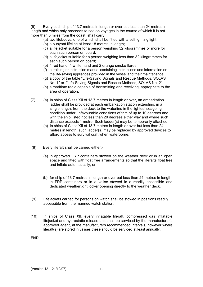(6) Every such ship of 13.7 metres in length or over but less than 24 metres in length and which only proceeds to sea on voyages in the course of which it is not more than 3 miles from the coast, shall carry:

- (a) two lifebuoys, one of which shall be fitted with a self-igniting light;
- (b) a buoyant lifeline at least 18 metres in length;
- (c) a lifejacket suitable for a person weighing 32 kilogrammes or more for each such person on board;
- (d) a lifejacket suitable for a person weighing less than 32 kilogrammes for each such person on board;
- (e) 4 red hand, 4 white hand and 2 orange smoke flares
- (f) a training or instruction manual containing instructions and information on the life-saving appliances provided in the vessel and their maintenance;
- (g) a copy of the table "Life-Saving Signals and Rescue Methods, SOLAS No. 1" or "Life-Saving Signals and Rescue Methods, SOLAS No. 2".
- (h) a maritime radio capable of transmitting and receiving, appropriate to the area of operation.
- (7) (a) In ships of Class XII of 13.7 metres in length or over, an embarkation ladder shall be provided at each embarkation station extending, in a single length, from the deck to the waterline in the lightest seagoing condition under unfavourable conditions of trim of up to 10 degrees and with the ship listed not less than 20 degrees either way and where such distance exceeds 1 metre. Such ladder(s) may be temporarily attached.
	- (b) In ships of Class XII of 13.7 metres in length or over but less than 24 metres in length, such ladder(s) may be replaced by approved devices to afford access to survival craft when waterborne.
- (8) Every liferaft shall be carried either:-
	- (a) in approved FRP containers stowed on the weather deck or in an open space and fitted with float free arrangements so that the liferafts float free and inflate automatically; or
	- (b) for ship of 13.7 metres in length or over but less than 24 metres in length, in FRP containers or in a valise stowed in a readily accessible and dedicated weathertight locker opening directly to the weather deck.
- (9) Lifejackets carried for persons on watch shall be stowed in positions readily accessible from the manned watch station.
- (10) In ships of Class XII, every inflatable liferaft, compressed gas inflatable lifejacket and hydrostatic release unit shall be serviced by the manufacturer's approved agent, at the manufacturers recommended intervals, however where liferaft(s) are stored in valises these should be serviced at least annually.

**END**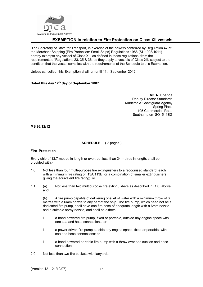

# **EXEMPTION in relation to Fire Protection on Class XII vessels**

The Secretary of State for Transport, in exercise of the powers conferred by Regulation 47 of the Merchant Shipping (Fire Protection: Small Ships) Regulations 1988 (SI 1998/1011) hereby exempts any vessel of Class XII, as defined in these regulations, from the requirements of Regulations 23, 35 & 36, as they apply to vessels of Class XII, subject to the condition that the vessel complies with the requirements of the Schedule to this Exemption.

Unless cancelled, this Exemption shall run until 11th September 2012.

# **Dated this day 12th day of September 2007**

**Mr. R. Spence**  Deputy Director Standards Maritime & Coastguard Agency Spring Place 105 Commercial Road Southampton SO15 1EG

#### **MS 93/12/12**

#### **SCHEDULE** ( 2 pages )

#### **Fire Protection**

Every ship of 13.7 metres in length or over, but less than 24 metres in length, shall be provided with:-

- 1.0 Not less than four multi-purpose fire extinguishers to a recognised standard, each with a minimum fire rating of 13A/113B, or a combination of smaller extinguishers giving the equivalent fire rating; or
- 1.1 (a) Not less than two multipurpose fire extinguishers as described in (1.0) above, and

 (b) A fire pump capable of delivering one jet of water with a minimum throw of 6 metres with a 6mm nozzle to any part of the ship. The fire pump, which need not be a dedicated fire pump, shall have one fire hose of adequate length with a 6mm nozzle and a suitable spray nozzle, and shall be either:-

- i. a hand powered fire pump, fixed or portable, outside any engine space with one sea and hose connections; or
- ii. a power driven fire pump outside any engine space, fixed or portable, with sea and hose connections; or
- iii. a hand powered portable fire pump with a throw over sea suction and hose connection.
- 2.0 Not less than two fire buckets with lanyards.